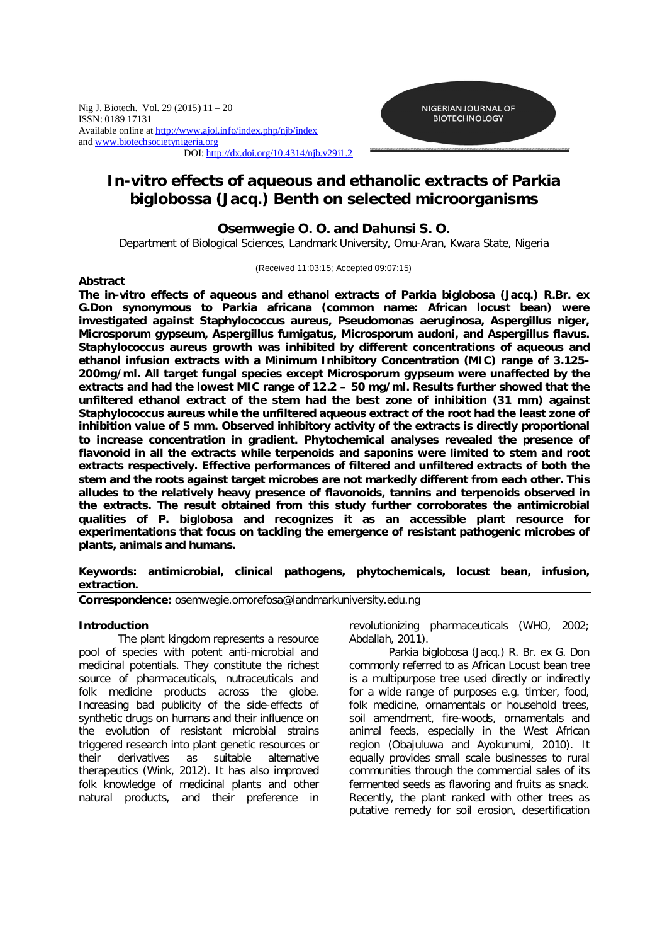Nig J. Biotech. Vol. 29 (2015) 11 – 20 ISSN: 0189 17131 Available online at http://www.ajol.info/index.php/njb/index and www.biotechsocietynigeria.org DOI: http://dx.doi.org/10.4314/njb.v29i1.2



# *In-vitro* **effects of aqueous and ethanolic extracts of** *Parkia biglobossa* **(Jacq.) Benth on selected microorganisms**

# **Osemwegie O. O. and Dahunsi S. O.**

Department of Biological Sciences, Landmark University, Omu-Aran, Kwara State, Nigeria

### (Received 11:03:15; Accepted 09:07:15)

## **Abstract**

**The** *in-vitro* **effects of aqueous and ethanol extracts of** *Parkia biglobosa* **(Jacq.) R.Br. ex G.Don synonymous to** *Parkia africana* **(common name: African locust bean) were investigated against** *Staphylococcus aureus***,** *Pseudomonas aeruginosa***,** *Aspergillus niger, Microsporum gypseum, Aspergillus fumigatus, Microsporum audoni***, and** *Aspergillus flavus. Staphylococcus aureus* **growth was inhibited by different concentrations of aqueous and ethanol infusion extracts with a Minimum Inhibitory Concentration (MIC) range of 3.125- 200mg/ml. All target fungal species except** *Microsporum gypseum* **were unaffected by the extracts and had the lowest MIC range of 12.2 – 50 mg/ml. Results further showed that the unfiltered ethanol extract of the stem had the best zone of inhibition (31 mm) against**  *Staphylococcus aureus* **while the unfiltered aqueous extract of the root had the least zone of inhibition value of 5 mm. Observed inhibitory activity of the extracts is directly proportional to increase concentration in gradient. Phytochemical analyses revealed the presence of flavonoid in all the extracts while terpenoids and saponins were limited to stem and root extracts respectively. Effective performances of filtered and unfiltered extracts of both the stem and the roots against target microbes are not markedly different from each other. This alludes to the relatively heavy presence of flavonoids, tannins and terpenoids observed in the extracts. The result obtained from this study further corroborates the antimicrobial qualities of** *P. biglobosa* **and recognizes it as an accessible plant resource for experimentations that focus on tackling the emergence of resistant pathogenic microbes of plants, animals and humans.**

# **Keywords: antimicrobial, clinical pathogens, phytochemicals, locust bean, infusion, extraction.**

*Correspondence: osemwegie.omorefosa@landmarkuniversity.edu.ng*

## **Introduction**

The plant kingdom represents a resource pool of species with potent anti-microbial and medicinal potentials. They constitute the richest source of pharmaceuticals, nutraceuticals and folk medicine products across the globe. Increasing bad publicity of the side-effects of synthetic drugs on humans and their influence on the evolution of resistant microbial strains triggered research into plant genetic resources or their derivatives as suitable alternative therapeutics (Wink, 2012). It has also improved folk knowledge of medicinal plants and other natural products, and their preference in

revolutionizing pharmaceuticals (WHO, 2002; Abdallah, 2011).

*Parkia biglobosa* (Jacq.) R. Br. ex G. Don commonly referred to as African Locust bean tree is a multipurpose tree used directly or indirectly for a wide range of purposes e.g. timber, food, folk medicine, ornamentals or household trees, soil amendment, fire-woods, ornamentals and animal feeds, especially in the West African region (Obajuluwa and Ayokunumi, 2010). It equally provides small scale businesses to rural communities through the commercial sales of its fermented seeds as flavoring and fruits as snack. Recently, the plant ranked with other trees as putative remedy for soil erosion, desertification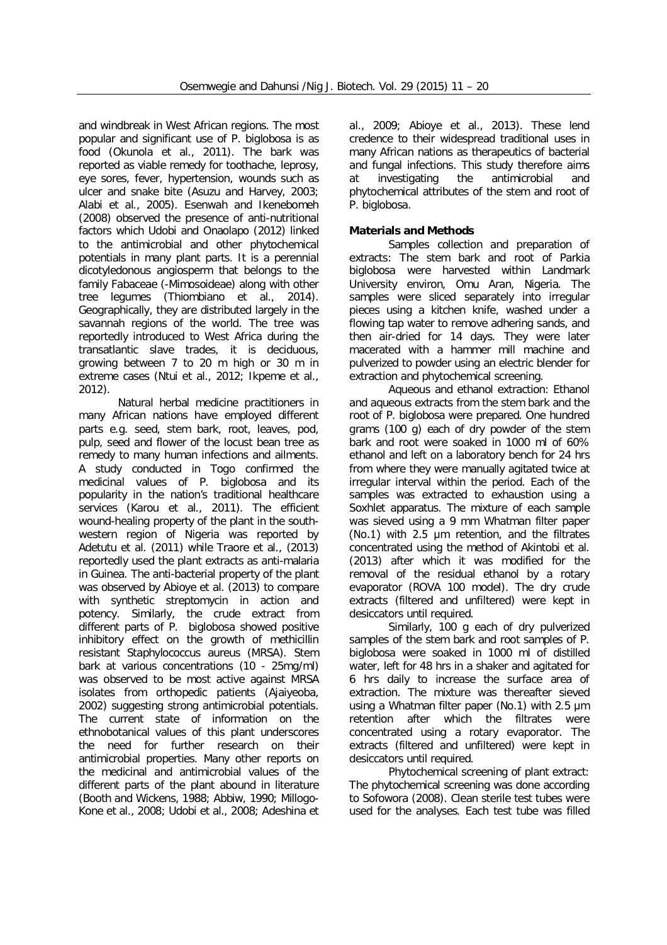and windbreak in West African regions. The most popular and significant use of *P. biglobosa* is as food (Okunola et al., 2011). The bark was reported as viable remedy for toothache, leprosy, eye sores, fever, hypertension, wounds such as ulcer and snake bite (Asuzu and Harvey, 2003; Alabi et al., 2005). Esenwah and Ikenebomeh (2008) observed the presence of anti-nutritional factors which Udobi and Onaolapo (2012) linked to the antimicrobial and other phytochemical potentials in many plant parts. It is a perennial dicotyledonous angiosperm that belongs to the family Fabaceae (-Mimosoideae) along with other tree legumes (Thiombiano et al., 2014). Geographically, they are distributed largely in the savannah regions of the world. The tree was reportedly introduced to West Africa during the transatlantic slave trades, it is deciduous, growing between 7 to 20 m high or 30 m in extreme cases (Ntui et al., 2012; Ikpeme et al., 2012).

Natural herbal medicine practitioners in many African nations have employed different parts e.g. seed, stem bark, root, leaves, pod, pulp, seed and flower of the locust bean tree as remedy to many human infections and ailments. A study conducted in Togo confirmed the medicinal values of *P. biglobosa* and its popularity in the nation's traditional healthcare services (Karou et al., 2011). The efficient wound-healing property of the plant in the southwestern region of Nigeria was reported by Adetutu et al. (2011) while Traore et al., (2013) reportedly used the plant extracts as anti-malaria in Guinea. The anti-bacterial property of the plant was observed by Abioye et al. (2013) to compare with synthetic streptomycin in action and potency. Similarly, the crude extract from different parts of *P. biglobosa* showed positive inhibitory effect on the growth of methicillin resistant *Staphylococcus aureus* (MRSA). Stem bark at various concentrations (10 - 25mg/ml) was observed to be most active against MRSA isolates from orthopedic patients (Ajaiyeoba, 2002) suggesting strong antimicrobial potentials. The current state of information on the ethnobotanical values of this plant underscores the need for further research on their antimicrobial properties. Many other reports on the medicinal and antimicrobial values of the different parts of the plant abound in literature (Booth and Wickens, 1988; Abbiw, 1990; Millogo-Kone et al., 2008; Udobi et al., 2008; Adeshina et

al., 2009; Abioye et al., 2013). These lend credence to their widespread traditional uses in many African nations as therapeutics of bacterial and fungal infections. This study therefore aims at investigating the antimicrobial and phytochemical attributes of the stem and root of *P. biglobosa.*

# **Materials and Methods**

*Samples collection and preparation of extracts:* The stem bark and root of *Parkia biglobosa* were harvested within Landmark University environ, Omu Aran, Nigeria. The samples were sliced separately into irregular pieces using a kitchen knife, washed under a flowing tap water to remove adhering sands, and then air-dried for 14 days. They were later macerated with a hammer mill machine and pulverized to powder using an electric blender for extraction and phytochemical screening.

*Aqueous and ethanol extraction:* Ethanol and aqueous extracts from the stem bark and the root of *P. biglobosa* were prepared. One hundred grams (100 g) each of dry powder of the stem bark and root were soaked in 1000 ml of 60% ethanol and left on a laboratory bench for 24 hrs from where they were manually agitated twice at irregular interval within the period. Each of the samples was extracted to exhaustion using a Soxhlet apparatus. The mixture of each sample was sieved using a 9 mm Whatman filter paper (No.1) with  $2.5$  µm retention, and the filtrates concentrated using the method of Akintobi et al. (2013) after which it was modified for the removal of the residual ethanol by a rotary evaporator (ROVA 100 model). The dry crude extracts (filtered and unfiltered) were kept in desiccators until required.

Similarly, 100 g each of dry pulverized samples of the stem bark and root samples of *P. biglobosa* were soaked in 1000 ml of distilled water, left for 48 hrs in a shaker and agitated for 6 hrs daily to increase the surface area of extraction. The mixture was thereafter sieved using a Whatman filter paper (No.1) with 2.5 µm retention after which the filtrates were concentrated using a rotary evaporator. The extracts (filtered and unfiltered) were kept in desiccators until required.

*Phytochemical screening of plant extract:* The phytochemical screening was done according to Sofowora (2008). Clean sterile test tubes were used for the analyses. Each test tube was filled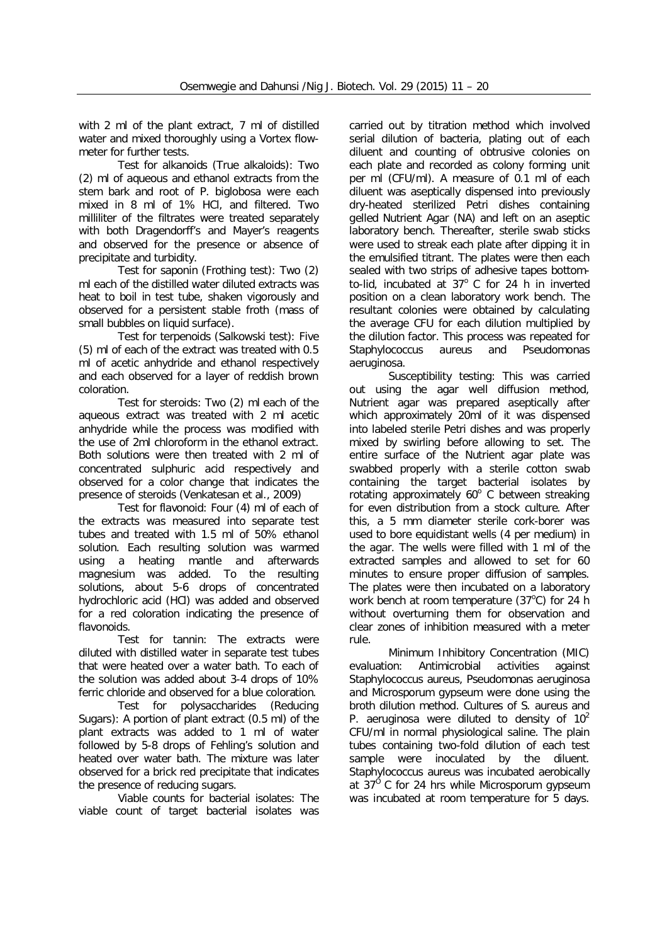with 2 ml of the plant extract, 7 ml of distilled water and mixed thoroughly using a Vortex flowmeter for further tests.

*Test for alkanoids (True alkaloids):* Two (2) ml of aqueous and ethanol extracts from the stem bark and root of *P. biglobosa* were each mixed in 8 ml of 1% HCl, and filtered. Two milliliter of the filtrates were treated separately with both Dragendorff's and Mayer's reagents and observed for the presence or absence of precipitate and turbidity.

*Test for saponin (Frothing test):* Two (2) ml each of the distilled water diluted extracts was heat to boil in test tube, shaken vigorously and observed for a persistent stable froth (mass of small bubbles on liquid surface).

*Test for terpenoids (Salkowski test):* Five (5) ml of each of the extract was treated with 0.5 ml of acetic anhydride and ethanol respectively and each observed for a layer of reddish brown coloration.

*Test for steroids:* Two (2) ml each of the aqueous extract was treated with 2 ml acetic anhydride while the process was modified with the use of 2ml chloroform in the ethanol extract. Both solutions were then treated with 2 ml of concentrated sulphuric acid respectively and observed for a color change that indicates the presence of steroids (Venkatesan et al., 2009)

*Test for flavonoid:* Four (4) ml of each of the extracts was measured into separate test tubes and treated with 1.5 ml of 50% ethanol solution. Each resulting solution was warmed using a heating mantle and afterwards magnesium was added. To the resulting solutions, about 5-6 drops of concentrated hydrochloric acid (HCl) was added and observed for a red coloration indicating the presence of flavonoids.

*Test for tannin:* The extracts were diluted with distilled water in separate test tubes that were heated over a water bath. To each of the solution was added about 3-4 drops of 10% ferric chloride and observed for a blue coloration.

*Test for polysaccharides (Reducing Sugars):* A portion of plant extract (0.5 ml) of the plant extracts was added to 1 ml of water followed by 5-8 drops of Fehling's solution and heated over water bath. The mixture was later observed for a brick red precipitate that indicates the presence of reducing sugars.

*Viable counts for bacterial isolates:* The viable count of target bacterial isolates was

carried out by titration method which involved serial dilution of bacteria, plating out of each diluent and counting of obtrusive colonies on each plate and recorded as colony forming unit per ml (CFU/ml). A measure of 0.1 ml of each diluent was aseptically dispensed into previously dry-heated sterilized Petri dishes containing gelled Nutrient Agar (NA) and left on an aseptic laboratory bench. Thereafter, sterile swab sticks were used to streak each plate after dipping it in the emulsified titrant. The plates were then each sealed with two strips of adhesive tapes bottomto-lid, incubated at  $37^{\circ}$  C for 24 h in inverted position on a clean laboratory work bench. The resultant colonies were obtained by calculating the average CFU for each dilution multiplied by the dilution factor. This process was repeated for *Staphylococcus aureus and Pseudomonas aeruginosa.*

*Susceptibility testing:* This was carried out using the agar well diffusion method, Nutrient agar was prepared aseptically after which approximately 20ml of it was dispensed into labeled sterile Petri dishes and was properly mixed by swirling before allowing to set. The entire surface of the Nutrient agar plate was swabbed properly with a sterile cotton swab containing the target bacterial isolates by rotating approximately  $60^\circ$  C between streaking for even distribution from a stock culture. After this, a 5 mm diameter sterile cork-borer was used to bore equidistant wells (4 per medium) in the agar. The wells were filled with 1 ml of the extracted samples and allowed to set for 60 minutes to ensure proper diffusion of samples. The plates were then incubated on a laboratory work bench at room temperature  $(37^{\circ}C)$  for 24 h without overturning them for observation and clear zones of inhibition measured with a meter rule.

*Minimum Inhibitory Concentration (MIC) evaluation:* Antimicrobial activities against *Staphylococcus aureus, Pseudomonas aeruginosa* and *Microsporum gypseum* were done using the broth dilution method. Cultures of *S. aureus* and *P. aeruginosa* were diluted to density of  $10^2$ CFU/ml in normal physiological saline. The plain tubes containing two-fold dilution of each test sample were inoculated by the diluent. *Staphylococcus aureus* was incubated aerobically at 37<sup>°</sup> C for 24 hrs while *Microsporum gypseum* was incubated at room temperature for 5 days.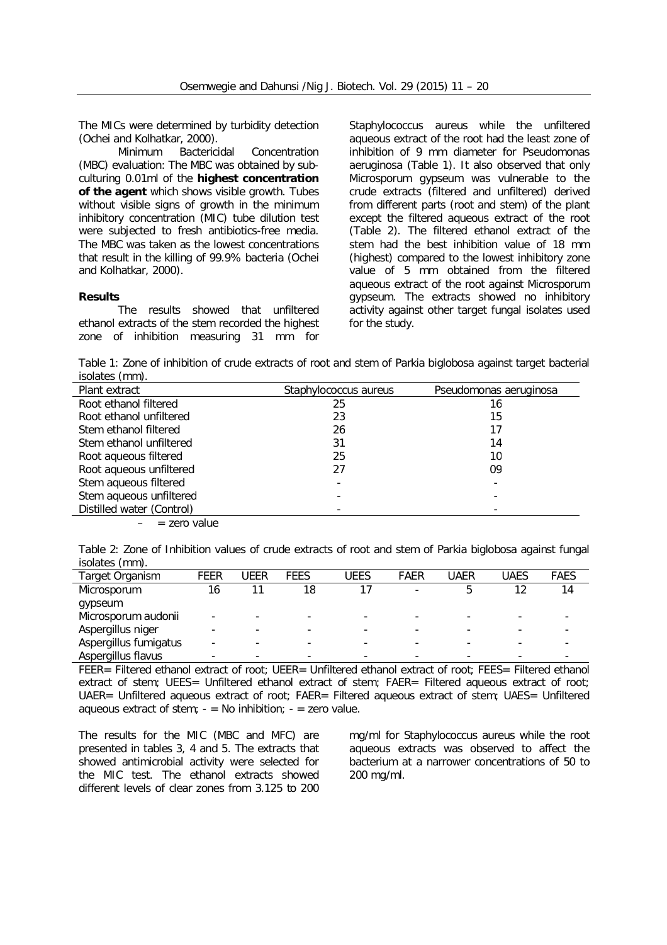The MICs were determined by turbidity detection (Ochei and Kolhatkar, 2000).

*Minimum Bactericidal Concentration (MBC) evaluation:* The MBC was obtained by subculturing 0.01ml of the **highest concentration of the agent** which shows visible growth. Tubes without visible signs of growth in the minimum inhibitory concentration (MIC) tube dilution test were subjected to fresh antibiotics-free media. The MBC was taken as the lowest concentrations that result in the killing of 99.9% bacteria (Ochei and Kolhatkar, 2000).

#### **Results**

The results showed that unfiltered ethanol extracts of the stem recorded the highest zone of inhibition measuring 31 mm for

*Staphylococcus aureus* while the unfiltered aqueous extract of the root had the least zone of inhibition of 9 mm diameter for *Pseudomonas aeruginosa* (Table 1). It also observed that only *Microsporum gypseum* was vulnerable to the crude extracts (filtered and unfiltered) derived from different parts (root and stem) of the plant except the filtered aqueous extract of the root (Table 2). The filtered ethanol extract of the stem had the best inhibition value of 18 mm (highest) compared to the lowest inhibitory zone value of 5 mm obtained from the filtered aqueous extract of the root against *Microsporum gypseum*. The extracts showed no inhibitory activity against other target fungal isolates used for the study.

Table 1: Zone of inhibition of crude extracts of root and stem of *Parkia biglobosa* against target bacterial isolates (mm).

| Plant extract             | Staphylococcus aureus | Pseudomonas aeruginosa |
|---------------------------|-----------------------|------------------------|
| Root ethanol filtered     | 25                    | 16                     |
| Root ethanol unfiltered   | 23                    | 15                     |
| Stem ethanol filtered     | 26                    | 17                     |
| Stem ethanol unfiltered   | 31                    | 14                     |
| Root aqueous filtered     | 25                    | 10                     |
| Root aqueous unfiltered   | 27                    | 09                     |
| Stem aqueous filtered     |                       |                        |
| Stem aqueous unfiltered   |                       |                        |
| Distilled water (Control) |                       |                        |

 $-$  = zero value

Table 2: Zone of Inhibition values of crude extracts of root and stem of *Parkia biglobosa* against fungal isolates (mm).

| Target Organism       | FEER | UFFR                     | FEES | UEES | FAER | JAER | UAES | <b>FAES</b> |
|-----------------------|------|--------------------------|------|------|------|------|------|-------------|
| Microsporum           | 16   |                          | 18   |      |      |      |      | 14          |
| gypseum               |      |                          |      |      |      |      |      |             |
| Microsporum audonii   |      | $\overline{\phantom{a}}$ |      |      |      |      |      |             |
| Aspergillus niger     |      | $\overline{\phantom{0}}$ |      |      |      |      |      |             |
| Aspergillus fumigatus |      |                          |      |      |      |      |      |             |
| Aspergillus flavus    |      |                          |      |      |      |      |      |             |

*FEER= Filtered ethanol extract of root; UEER= Unfiltered ethanol extract of root; FEES= Filtered ethanol extract of stem; UEES= Unfiltered ethanol extract of stem; FAER= Filtered aqueous extract of root; UAER= Unfiltered aqueous extract of root; FAER= Filtered aqueous extract of stem; UAES= Unfiltered aqueous extract of stem; - = No inhibition; -* = zero value*.* 

The results for the MIC (MBC and MFC) are presented in tables 3, 4 and 5. The extracts that showed antimicrobial activity were selected for the MIC test. The ethanol extracts showed different levels of clear zones from 3.125 to 200

mg/ml for *Staphylococcus aureus* while the root aqueous extracts was observed to affect the bacterium at a narrower concentrations of 50 to 200 mg/ml.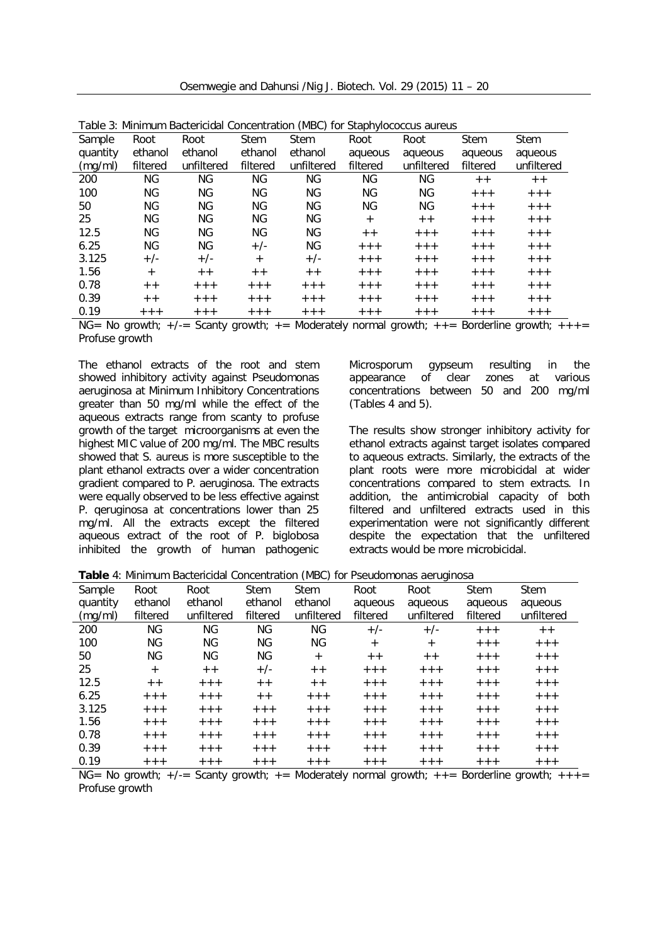Osemwegie and Dahunsi /Nig J. Biotech. Vol. 29 (2015) 11 – 20

| Table 3: Minimum Bactericidal Concentration (MBC) for <i>Staphylococcus aureus</i> |           |            |             |             |           |            |             |             |
|------------------------------------------------------------------------------------|-----------|------------|-------------|-------------|-----------|------------|-------------|-------------|
| Sample                                                                             | Root      | Root       | <b>Stem</b> | <b>Stem</b> | Root      | Root       | <b>Stem</b> | <b>Stem</b> |
| quantity                                                                           | ethanol   | ethanol    | ethanol     | ethanol     | aqueous   | aqueous    | aqueous     | aqueous     |
| (mg/ml)                                                                            | filtered  | unfiltered | filtered    | unfiltered  | filtered  | unfiltered | filtered    | unfiltered  |
| 200                                                                                | ΝG        | <b>NG</b>  | <b>NG</b>   | ΝG          | NG        | ΝG         | $++$        | $+ +$       |
| 100                                                                                | ΝG        | <b>NG</b>  | ΝG          | ΝG          | <b>NG</b> | ΝG         | $+ + +$     | $+++$       |
| 50                                                                                 | ΝG        | <b>NG</b>  | ΝG          | ΝG          | <b>NG</b> | ΝG         | $+ + +$     | $+ + +$     |
| 25                                                                                 | ΝG        | ΝG         | ΝG          | ΝG          | $+$       | $+ +$      | $+ + +$     | $+ + +$     |
| 12.5                                                                               | <b>NG</b> | <b>NG</b>  | ΝG          | ΝG          | $+ +$     | $+ + +$    | $+ + +$     | $+ + +$     |
| 6.25                                                                               | ΝG        | <b>NG</b>  | $+/-$       | ΝG          | $+ + +$   | $+ + +$    | $+ + +$     | $+++$       |
| 3.125                                                                              | $+/-$     | $+/-$      | $+$         | $+/-$       | $+ + +$   | $+ + +$    | $+ + +$     | $+ + +$     |
| 1.56                                                                               | $+$       | $+ +$      | $+ +$       | $++$        | $+ + +$   | $+ + +$    | $+ + +$     | $+ + +$     |
| 0.78                                                                               | $+ +$     | $+ + +$    | $+ + +$     | $+ + +$     | $+ + +$   | $+ + +$    | $+ + +$     | $+ + +$     |
| 0.39                                                                               | $+ +$     | $+ + +$    | $+ + +$     | $+ + +$     | $+ + +$   | $+ + +$    | $+ + +$     | $+ + +$     |
| 0.19                                                                               | $++++$    | $+ + +$    | $+ + +$     | $+ + +$     | $+ + +$   | $+ + +$    | $+ + +$     | $+ + +$     |

| Table 3: Minimum Bactericidal Concentration (MBC) for <i>Staphylococcus aureus</i> |  |  |  |
|------------------------------------------------------------------------------------|--|--|--|
|------------------------------------------------------------------------------------|--|--|--|

 $NG= No$  growth;  $+/-$ = Scanty growth;  $+=$  Moderately normal growth;  $++$  = Borderline growth;  $++$ *Profuse growth*

The ethanol extracts of the root and stem showed inhibitory activity against *Pseudomonas aeruginosa* at Minimum Inhibitory Concentrations greater than 50 mg/ml while the effect of the aqueous extracts range from scanty to profuse growth of the target microorganisms at even the highest MIC value of 200 mg/ml. The MBC results showed that *S. aureus* is more susceptible to the plant ethanol extracts over a wider concentration gradient compared to *P. aeruginosa*. The extracts were equally observed to be less effective against *P. qeruginosa* at concentrations lower than 25 mg/ml. All the extracts except the filtered aqueous extract of the root of *P. biglobosa* inhibited the growth of human pathogenic *Microsporum gypseum* resulting in the appearance of clear zones at various concentrations between 50 and 200 mg/ml (Tables 4 and 5).

The results show stronger inhibitory activity for ethanol extracts against target isolates compared to aqueous extracts. Similarly, the extracts of the plant roots were more microbicidal at wider concentrations compared to stem extracts. In addition, the antimicrobial capacity of both filtered and unfiltered extracts used in this experimentation were not significantly different despite the expectation that the unfiltered extracts would be more microbicidal.

|  |                  |  |                     | Table 4: Minimum Bactericidal Concentration (MBC) for Pseudomonas aeruginosa |      |
|--|------------------|--|---------------------|------------------------------------------------------------------------------|------|
|  | Sample Doot Doot |  | Stam Stam Doot Doot |                                                                              | Stam |

| Sample   | Root     | Root       | <b>Stem</b> | <b>Stem</b> | Root     | Root       | <b>Stem</b> | <b>Stem</b> |
|----------|----------|------------|-------------|-------------|----------|------------|-------------|-------------|
| quantity | ethanol  | ethanol    | ethanol     | ethanol     | aqueous  | aqueous    | aqueous     | aqueous     |
| (mg/ml)  | filtered | unfiltered | filtered    | unfiltered  | filtered | unfiltered | filtered    | unfiltered  |
| 200      | ΝG       | ΝG         | ΝG          | ΝG          | $+/-$    | $+/-$      | $+++$       | $+ +$       |
| 100      | ΝG       | ΝG         | ΝG          | ΝG          | $^{+}$   | $^{+}$     | $+ + +$     | $+ + +$     |
| 50       | ΝG       | ΝG         | <b>NG</b>   | $+$         | $+ +$    | $+ +$      | $+++$       | $+ + +$     |
| 25       | $+$      | $+ +$      | $+/-$       | $+ +$       | $+ + +$  | $+ + +$    | $+ + +$     | $+ + +$     |
| 12.5     | $+ +$    | $+ + +$    | $+ +$       | $+ +$       | $+ + +$  | $+ + +$    | $+ + +$     | $+ + +$     |
| 6.25     | $++$     | $+++$      | $+ +$       | $+ + +$     | $+ + +$  | $+ + +$    | $+++$       | $+ + +$     |
| 3.125    | $++$     | $+ + +$    | $+ + +$     | $+ + +$     | $+ + +$  | $+ + +$    | $+ + +$     | $+ + +$     |
| 1.56     | $+ + +$  | $+ + +$    | $+ + +$     | $+ + +$     | $+ + +$  | $+ + +$    | $+ + +$     | $+ + +$     |
| 0.78     | $+++$    | $+++$      | $+ + +$     | $+ + +$     | $+ + +$  | $+ + +$    | $+ + +$     | $+ + +$     |
| 0.39     | $++$     | $+ + +$    | $+ + +$     | $+ + +$     | $+ + +$  | $+ + +$    | $+ + +$     | $+ + +$     |
| 0.19     | $+ + +$  | $+ + +$    | $+ + +$     | $+ + +$     | $+ + +$  | $+ + +$    | $+ + +$     | $+ + +$     |

 $NG= No$  growth;  $+/-$  Scanty growth;  $+ =$  Moderately normal growth;  $++ =$  Borderline growth;  $++$   $+=$ *Profuse growth*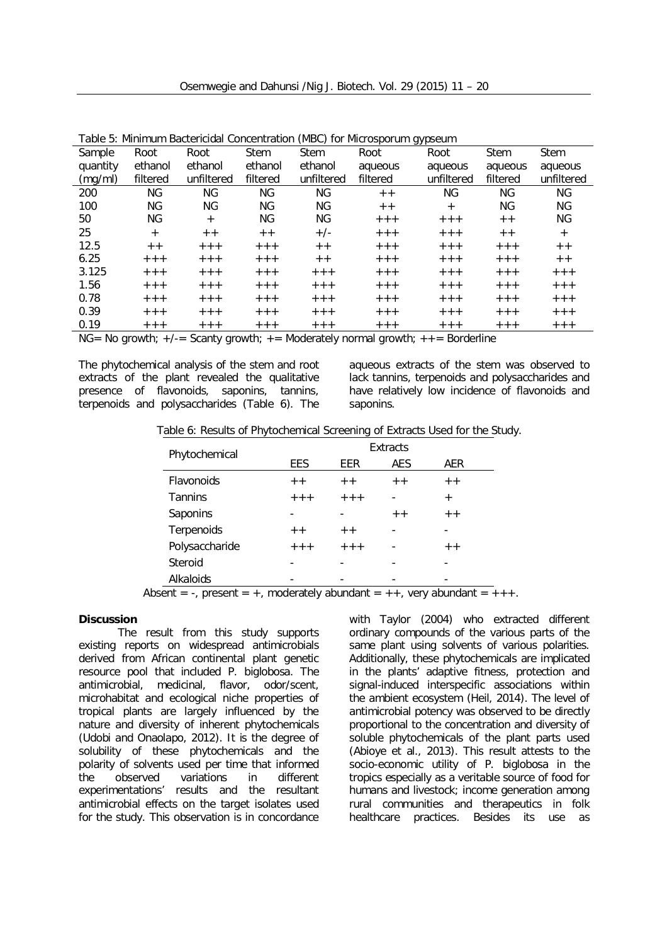|          | rable 5. Millillufi bactericiual concentration (MBC) for <i>Milcrosporum gypseum</i> |            |             |             |          |            |             |             |  |
|----------|--------------------------------------------------------------------------------------|------------|-------------|-------------|----------|------------|-------------|-------------|--|
| Sample   | Root                                                                                 | Root       | <b>Stem</b> | <b>Stem</b> | Root     | Root       | <b>Stem</b> | <b>Stem</b> |  |
| quantity | ethanol                                                                              | ethanol    | ethanol     | ethanol     | aqueous  | aqueous    | aqueous     | aqueous     |  |
| (mg/ml)  | filtered                                                                             | unfiltered | filtered    | unfiltered  | filtered | unfiltered | filtered    | unfiltered  |  |
| 200      | ΝG                                                                                   | ΝG         | ΝG          | ΝG          | $+ +$    | ΝG         | ΝG          | ΝG          |  |
| 100      | ΝG                                                                                   | ΝG         | ΝG          | ΝG          | $+ +$    | $+$        | ΝG          | ΝG          |  |
| 50       | ΝG                                                                                   | $+$        | NG          | ΝG          | $+ + +$  | $+ + +$    | $+ +$       | ΝG          |  |
| 25       | $+$                                                                                  | $+ +$      | $+ +$       | $+/-$       | $+ + +$  | $+ + +$    | $+ +$       | $^{+}$      |  |
| 12.5     | $+ +$                                                                                | $+ + +$    | $+ + +$     | $+ +$       | $+ + +$  | $+ + +$    | $+ + +$     | $+ +$       |  |
| 6.25     | $+ + +$                                                                              | $+ + +$    | $+ + +$     | $+ +$       | $+ + +$  | $+ + +$    | $+ + +$     | $+ +$       |  |
| 3.125    | $+ + +$                                                                              | $+ + +$    | $+ + +$     | $+++$       | $+ + +$  | $+ + +$    | $+ + +$     | $+ + +$     |  |
| 1.56     | $+ + +$                                                                              | $+ + +$    | $+ + +$     | $+++$       | $+ + +$  | $+ + +$    | $+ + +$     | $+ + +$     |  |
| 0.78     | $+ + +$                                                                              | $+ + +$    | $+ + +$     | $+++$       | $+ + +$  | $+ + +$    | $+ + +$     | $+ + +$     |  |
| 0.39     | $+ + +$                                                                              | $+ + +$    | $+ + +$     | $+ + +$     | $+ + +$  | $+ + +$    | $+ + +$     | $+ + +$     |  |
| 0.19     | $+ + +$                                                                              | $+ + +$    | $+ + +$     | $+ + +$     | $+ + +$  | $+ + +$    | $+ + +$     | $++++$      |  |

Table 5: Minimum Bactericidal Concentration (MBC) for *Microsporum gypseum*

*NG= No growth; +/-= Scanty growth; += Moderately normal growth; ++= Borderline*

The phytochemical analysis of the stem and root extracts of the plant revealed the qualitative presence of flavonoids, saponins, tannins, terpenoids and polysaccharides (Table 6). The

aqueous extracts of the stem was observed to lack tannins, terpenoids and polysaccharides and have relatively low incidence of flavonoids and saponins.

Table 6: Results of Phytochemical Screening of Extracts Used for the Study.

| Phytochemical                                                                                                                |         |         | Extracts   |                |
|------------------------------------------------------------------------------------------------------------------------------|---------|---------|------------|----------------|
|                                                                                                                              | EES     | EER     | <b>AES</b> | AER            |
| Flavonoids                                                                                                                   | $+ +$   | $+ +$   | $+ +$      | $+ +$          |
| Tannins                                                                                                                      | $+ + +$ | $+ + +$ |            | $\overline{+}$ |
| Saponins                                                                                                                     |         |         | $+ +$      | $+ +$          |
| Terpenoids                                                                                                                   | $+ +$   | $+ +$   |            |                |
| Polysaccharide                                                                                                               | $+ + +$ | $+ + +$ |            | $+ +$          |
| Steroid                                                                                                                      |         |         |            |                |
| Alkaloids<br>the contract of the contract of the contract of the contract of the contract of the contract of the contract of | .       |         |            | .              |

Absent = -, present = +, moderately abundant =  $++$ , very abundant =  $++$ .

## **Discussion**

The result from this study supports existing reports on widespread antimicrobials derived from African continental plant genetic resource pool that included *P. biglobosa*. The antimicrobial, medicinal, flavor, odor/scent, microhabitat and ecological niche properties of tropical plants are largely influenced by the nature and diversity of inherent phytochemicals (Udobi and Onaolapo, 2012). It is the degree of solubility of these phytochemicals and the polarity of solvents used per time that informed the observed variations in different experimentations' results and the resultant antimicrobial effects on the target isolates used for the study. This observation is in concordance

with Taylor (2004) who extracted different ordinary compounds of the various parts of the same plant using solvents of various polarities. Additionally, these phytochemicals are implicated in the plants' adaptive fitness, protection and signal-induced interspecific associations within the ambient ecosystem (Heil, 2014). The level of antimicrobial potency was observed to be directly proportional to the concentration and diversity of soluble phytochemicals of the plant parts used (Abioye et al., 2013). This result attests to the socio-economic utility of *P. biglobosa* in the tropics especially as a veritable source of food for humans and livestock; income generation among rural communities and therapeutics in folk healthcare practices. Besides its use as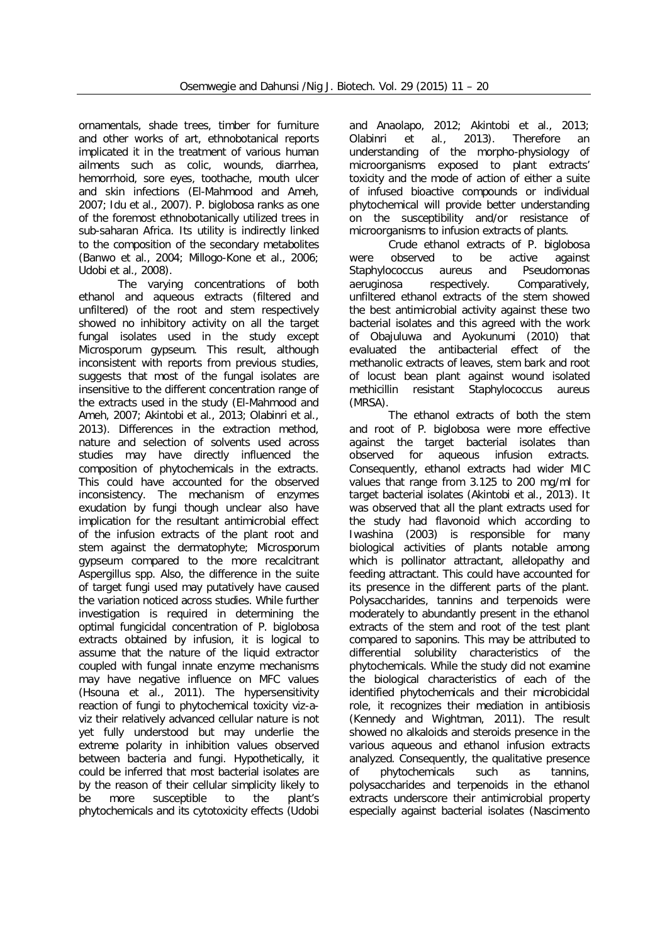ornamentals, shade trees, timber for furniture and other works of art, ethnobotanical reports implicated it in the treatment of various human ailments such as colic, wounds, diarrhea, hemorrhoid, sore eyes, toothache, mouth ulcer and skin infections (El-Mahmood and Ameh, 2007; Idu et al., 2007). *P. biglobosa* ranks as one of the foremost ethnobotanically utilized trees in sub-saharan Africa. Its utility is indirectly linked to the composition of the secondary metabolites (Banwo et al*.,* 2004; Millogo-Kone et al., 2006; Udobi et al., 2008).

The varying concentrations of both ethanol and aqueous extracts (filtered and unfiltered) of the root and stem respectively showed no inhibitory activity on all the target fungal isolates used in the study except *Microsporum gypseum*. This result, although inconsistent with reports from previous studies, suggests that most of the fungal isolates are insensitive to the different concentration range of the extracts used in the study (El-Mahmood and Ameh, 2007; Akintobi et al., 2013; Olabinri et al., 2013). Differences in the extraction method, nature and selection of solvents used across studies may have directly influenced the composition of phytochemicals in the extracts. This could have accounted for the observed inconsistency. The mechanism of enzymes exudation by fungi though unclear also have implication for the resultant antimicrobial effect of the infusion extracts of the plant root and stem against the dermatophyte; *Microsporum gypseum* compared to the more recalcitrant *Aspergillus* spp. Also, the difference in the suite of target fungi used may putatively have caused the variation noticed across studies. While further investigation is required in determining the optimal fungicidal concentration of *P. biglobosa* extracts obtained by infusion, it is logical to assume that the nature of the liquid extractor coupled with fungal innate enzyme mechanisms may have negative influence on MFC values (Hsouna et al., 2011). The hypersensitivity reaction of fungi to phytochemical toxicity viz-aviz their relatively advanced cellular nature is not yet fully understood but may underlie the extreme polarity in inhibition values observed between bacteria and fungi. Hypothetically, it could be inferred that most bacterial isolates are by the reason of their cellular simplicity likely to be more susceptible to the plant's phytochemicals and its cytotoxicity effects (Udobi

and Anaolapo, 2012; Akintobi et al., 2013; Olabinri et al., 2013). Therefore an understanding of the morpho-physiology of microorganisms exposed to plant extracts' toxicity and the mode of action of either a suite of infused bioactive compounds or individual phytochemical will provide better understanding on the susceptibility and/or resistance of microorganisms to infusion extracts of plants.

Crude ethanol extracts of *P. biglobosa* were observed to be active against *Staphylococcus aureus* and *Pseudomonas aeruginosa* respectively*.* Comparatively, unfiltered ethanol extracts of the stem showed the best antimicrobial activity against these two bacterial isolates and this agreed with the work of Obajuluwa and Ayokunumi (2010) that evaluated the antibacterial effect of the methanolic extracts of leaves, stem bark and root of locust bean plant against wound isolated methicillin resistant *Staphylococcus aureus* (MRSA).

The ethanol extracts of both the stem and root of *P. biglobosa* were more effective against the target bacterial isolates than observed for aqueous infusion extracts. Consequently, ethanol extracts had wider MIC values that range from 3.125 to 200 mg/ml for target bacterial isolates (Akintobi et al., 2013). It was observed that all the plant extracts used for the study had flavonoid which according to Iwashina (2003) is responsible for many biological activities of plants notable among which is pollinator attractant, allelopathy and feeding attractant. This could have accounted for its presence in the different parts of the plant. Polysaccharides, tannins and terpenoids were moderately to abundantly present in the ethanol extracts of the stem and root of the test plant compared to saponins. This may be attributed to differential solubility characteristics of the phytochemicals. While the study did not examine the biological characteristics of each of the identified phytochemicals and their microbicidal role, it recognizes their mediation in antibiosis (Kennedy and Wightman, 2011). The result showed no alkaloids and steroids presence in the various aqueous and ethanol infusion extracts analyzed. Consequently, the qualitative presence of phytochemicals such as tannins, polysaccharides and terpenoids in the ethanol extracts underscore their antimicrobial property especially against bacterial isolates (Nascimento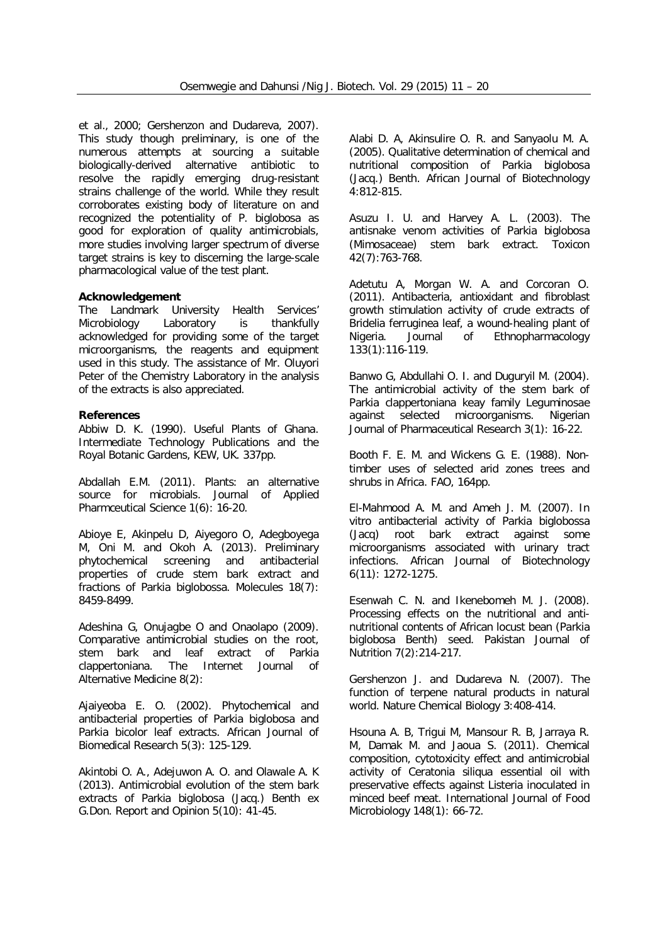et al*.,* 2000; Gershenzon and Dudareva, 2007). This study though preliminary, is one of the numerous attempts at sourcing a suitable biologically-derived alternative antibiotic to resolve the rapidly emerging drug-resistant strains challenge of the world. While they result corroborates existing body of literature on and recognized the potentiality of *P*. *biglobosa* as good for exploration of quality antimicrobials, more studies involving larger spectrum of diverse target strains is key to discerning the large-scale pharmacological value of the test plant.

#### **Acknowledgement**

The Landmark University Health Services' Microbiology Laboratory is thankfully acknowledged for providing some of the target microorganisms, the reagents and equipment used in this study. The assistance of Mr. Oluyori Peter of the Chemistry Laboratory in the analysis of the extracts is also appreciated.

#### **References**

Abbiw D. K. (1990). Useful Plants of Ghana. Intermediate Technology Publications and the Royal Botanic Gardens, KEW, UK. 337pp.

Abdallah E.M. (2011). Plants: an alternative source for microbials. *Journal of Applied Pharmceutical Science* 1(6): 16-20.

Abioye E, Akinpelu D, Aiyegoro O, Adegboyega M, Oni M. and Okoh A. (2013). Preliminary phytochemical screening and antibacterial properties of crude stem bark extract and fractions of *Parkia biglobossa*. *Molecules* 18(7): 8459-8499.

Adeshina G, Onujagbe O and Onaolapo (2009). Comparative antimicrobial studies on the root, stem bark and leaf extract of *Parkia clappertoniana*. *The Internet Journal of Alternative Medicine* 8(2):

Ajaiyeoba E. O. (2002). Phytochemical and antibacterial properties of *Parkia biglobosa* and *Parkia bicolor* leaf extracts. *African Journal of Biomedical Research* 5(3): 125-129.

Akintobi O. A., Adejuwon A. O. and Olawale A. K (2013). Antimicrobial evolution of the stem bark extracts of *Parkia biglobosa* (Jacq.) Benth ex G.Don. *Report and Opinion* 5(10): 41-45.

Alabi D. A, Akinsulire O. R. and Sanyaolu M. A. (2005). Qualitative determination of chemical and nutritional composition of *Parkia biglobosa* (Jacq.) Benth. *African Journal of Biotechnology* 4:812-815.

Asuzu I. U. and Harvey A. L. (2003). The antisnake venom activities of *Parkia biglobosa* (Mimosaceae) stem bark extract. *Toxicon* 42(7):763-768.

Adetutu A, Morgan W. A. and Corcoran O. (2011). Antibacteria, antioxidant and fibroblast growth stimulation activity of crude extracts of *Bridelia ferruginea* leaf, a wound-healing plant of Nigeria. *Journal of Ethnopharmacology* 133(1):116-119.

Banwo G, Abdullahi O. I. and Duguryil M. (2004). The antimicrobial activity of the stem bark of *Parkia clappertoniana* keay family Leguminosae against selected microorganisms. *Nigerian Journal of Pharmaceutical Research* 3(1): 16-22.

Booth F. E. M. and Wickens G. E. (1988). Nontimber uses of selected arid zones trees and shrubs in Africa. FAO, 164pp.

El-Mahmood A. M. and Ameh J. M. (2007). *In vitro* antibacterial activity of *Parkia biglobossa* (Jacq) root bark extract against some microorganisms associated with urinary tract infections. *African Journal of Biotechnology* 6(11): 1272-1275.

Esenwah C. N. and Ikenebomeh M. J. (2008). Processing effects on the nutritional and antinutritional contents of African locust bean (*Parkia biglobosa* Benth) seed. *Pakistan Journal of Nutrition* 7(2):214-217.

Gershenzon J. and Dudareva N. (2007). The function of terpene natural products in natural world. *Nature Chemical Biology* 3:408-414.

Hsouna A. B, Trigui M, Mansour R. B, Jarraya R. M, Damak M. and Jaoua S. (2011). Chemical composition, cytotoxicity effect and antimicrobial activity of *Ceratonia siliqua* essential oil with preservative effects against *Listeria* inoculated in minced beef meat. *International Journal of Food Microbiology* 148(1): 66-72.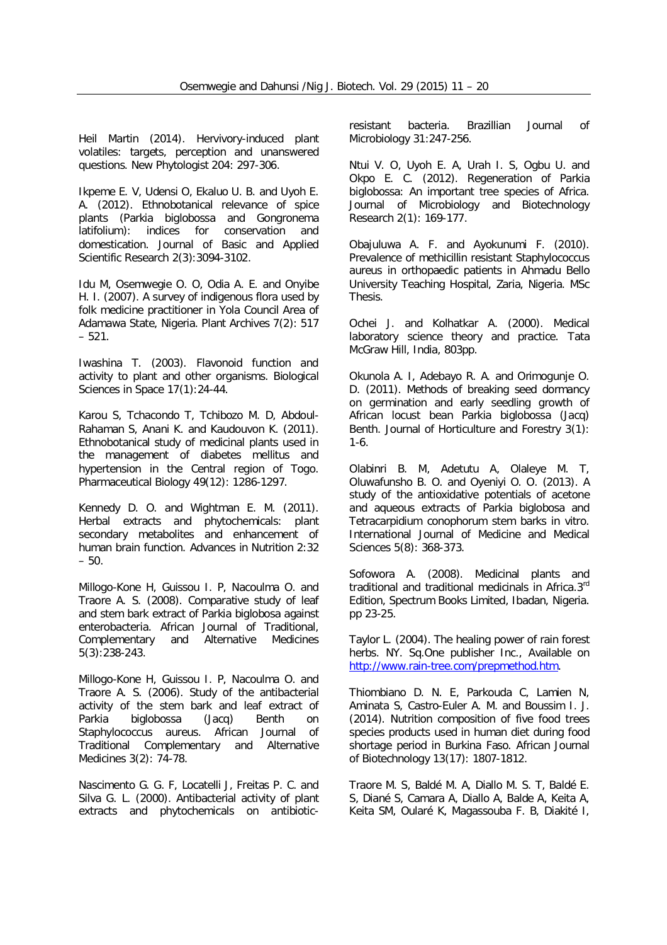Heil Martin (2014). Hervivory-induced plant volatiles: targets, perception and unanswered questions. *New Phytologist* 204: 297-306.

Ikpeme E. V, Udensi O, Ekaluo U. B. and Uyoh E. A. (2012). Ethnobotanical relevance of spice plants (*Parkia biglobossa* and *Gongronema latifolium*): indices for conservation and domestication. *Journal of Basic and Applied Scientific Research* 2(3):3094-3102.

Idu M, Osemwegie O. O, Odia A. E. and Onyibe H. I. (2007). A survey of indigenous flora used by folk medicine practitioner in Yola Council Area of Adamawa State, Nigeria. *Plant Archives* 7(2): 517 – 521.

Iwashina T. (2003). Flavonoid function and activity to plant and other organisms. *Biological Sciences in Space* 17(1):24-44.

Karou S, Tchacondo T, Tchibozo M. D, Abdoul-Rahaman S, Anani K. and Kaudouvon K. (2011). Ethnobotanical study of medicinal plants used in the management of diabetes mellitus and hypertension in the Central region of Togo. *Pharmaceutical Biology* 49(12): 1286-1297.

Kennedy D. O. and Wightman E. M. (2011). Herbal extracts and phytochemicals: plant secondary metabolites and enhancement of human brain function. *Advances in Nutrition* 2:32 – 50.

Millogo-Kone H, Guissou I. P, Nacoulma O. and Traore A. S. (2008). Comparative study of leaf and stem bark extract of *Parkia biglobosa* against enterobacteria. *African Journal of Traditional, Complementary and Alternative Medicines*  5(3):238-243.

Millogo-Kone H, Guissou I. P, Nacoulma O. and Traore A. S. (2006). Study of the antibacterial activity of the stem bark and leaf extract of *Parkia biglobossa* (Jacq) Benth on *Staphylococcus aureus*. *African Journal of Traditional Complementary and Alternative Medicines* 3(2): 74-78.

Nascimento G. G. F, Locatelli J, Freitas P. C. and Silva G. L. (2000). Antibacterial activity of plant extracts and phytochemicals on antibioticresistant bacteria. *Brazillian Journal of Microbiology* 31:247-256.

Ntui V. O, Uyoh E. A, Urah I. S, Ogbu U. and Okpo E. C. (2012). Regeneration of *Parkia biglobossa*: An important tree species of Africa. *Journal of Microbiology and Biotechnology Research* 2(1): 169-177.

Obajuluwa A. F. and Ayokunumi F. (2010). Prevalence of methicillin resistant *Staphylococcus aureus* in orthopaedic patients in Ahmadu Bello University Teaching Hospital, Zaria, Nigeria. MSc Thesis.

Ochei J. and Kolhatkar A. (2000). Medical laboratory science theory and practice. Tata McGraw Hill, India, 803pp.

Okunola A. I, Adebayo R. A. and Orimogunje O. D. (2011). Methods of breaking seed dormancy on germination and early seedling growth of African locust bean *Parkia biglobossa* (Jacq) Benth. *Journal of Horticulture and Forestry* 3(1): 1-6.

Olabinri B. M, Adetutu A, Olaleye M. T, Oluwafunsho B. O. and Oyeniyi O. O. (2013). A study of the antioxidative potentials of acetone and aqueous extracts of *Parkia biglobosa* and *Tetracarpidium conophorum* stem barks *in vitro*. *International Journal of Medicine and Medical Sciences* 5(8): 368-373.

Sofowora A. (2008). Medicinal plants and traditional and traditional medicinals in Africa.3rd Edition, Spectrum Books Limited, Ibadan, Nigeria. pp 23-25.

Taylor L. (2004). The healing power of rain forest herbs. NY. Sq.One publisher Inc., Available on http://www.rain-tree.com/prepmethod.htm.

Thiombiano D. N. E, Parkouda C, Lamien N, Aminata S, Castro-Euler A. M. and Boussim I. J. (2014). Nutrition composition of five food trees species products used in human diet during food shortage period in Burkina Faso. *African Journal of Biotechnology* 13(17): 1807-1812.

Traore M. S, Baldé M. A, Diallo M. S. T, Baldé E. S, Diané S, Camara A, Diallo A, Balde A, Keita A, Keita SM, Oularé K, Magassouba F. B, Diakité I,